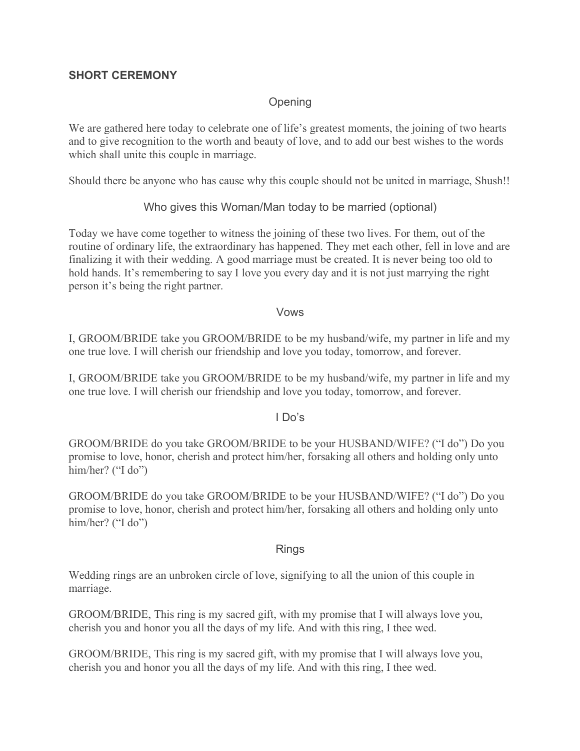### **SHORT CEREMONY**

# **Opening**

We are gathered here today to celebrate one of life's greatest moments, the joining of two hearts and to give recognition to the worth and beauty of love, and to add our best wishes to the words which shall unite this couple in marriage.

Should there be anyone who has cause why this couple should not be united in marriage, Shush!!

#### Who gives this Woman/Man today to be married (optional)

Today we have come together to witness the joining of these two lives. For them, out of the routine of ordinary life, the extraordinary has happened. They met each other, fell in love and are finalizing it with their wedding. A good marriage must be created. It is never being too old to hold hands. It's remembering to say I love you every day and it is not just marrying the right person it's being the right partner.

#### Vows

I, GROOM/BRIDE take you GROOM/BRIDE to be my husband/wife, my partner in life and my one true love. I will cherish our friendship and love you today, tomorrow, and forever.

I, GROOM/BRIDE take you GROOM/BRIDE to be my husband/wife, my partner in life and my one true love. I will cherish our friendship and love you today, tomorrow, and forever.

#### I Do's

GROOM/BRIDE do you take GROOM/BRIDE to be your HUSBAND/WIFE? ("I do") Do you promise to love, honor, cherish and protect him/her, forsaking all others and holding only unto him/her? ("I do")

GROOM/BRIDE do you take GROOM/BRIDE to be your HUSBAND/WIFE? ("I do") Do you promise to love, honor, cherish and protect him/her, forsaking all others and holding only unto him/her? ("I do")

#### Rings

Wedding rings are an unbroken circle of love, signifying to all the union of this couple in marriage.

GROOM/BRIDE, This ring is my sacred gift, with my promise that I will always love you, cherish you and honor you all the days of my life. And with this ring, I thee wed.

GROOM/BRIDE, This ring is my sacred gift, with my promise that I will always love you, cherish you and honor you all the days of my life. And with this ring, I thee wed.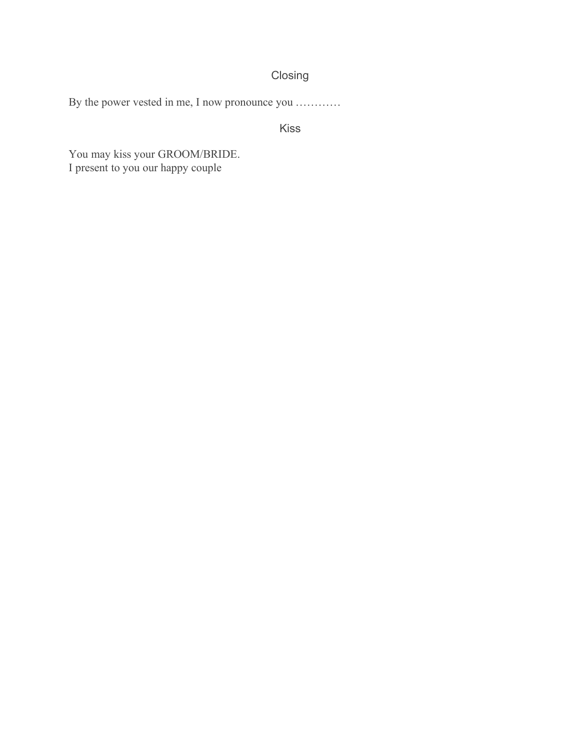# Closing

By the power vested in me, I now pronounce you …………

Kiss

You may kiss your GROOM/BRIDE. I present to you our happy couple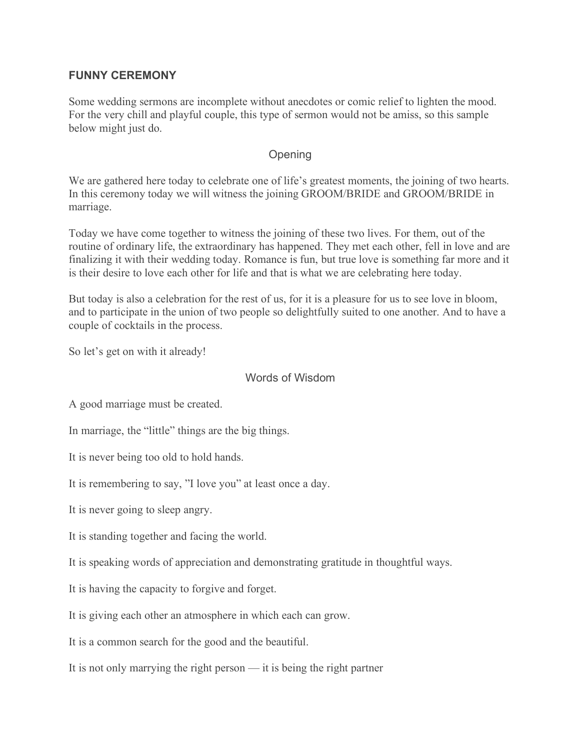#### **FUNNY CEREMONY**

Some wedding sermons are incomplete without anecdotes or comic relief to lighten the mood. For the very chill and playful couple, this type of sermon would not be amiss, so this sample below might just do.

### **Opening**

We are gathered here today to celebrate one of life's greatest moments, the joining of two hearts. In this ceremony today we will witness the joining GROOM/BRIDE and GROOM/BRIDE in marriage.

Today we have come together to witness the joining of these two lives. For them, out of the routine of ordinary life, the extraordinary has happened. They met each other, fell in love and are finalizing it with their wedding today. Romance is fun, but true love is something far more and it is their desire to love each other for life and that is what we are celebrating here today.

But today is also a celebration for the rest of us, for it is a pleasure for us to see love in bloom, and to participate in the union of two people so delightfully suited to one another. And to have a couple of cocktails in the process.

So let's get on with it already!

#### Words of Wisdom

A good marriage must be created.

In marriage, the "little" things are the big things.

It is never being too old to hold hands.

It is remembering to say, "I love you" at least once a day.

It is never going to sleep angry.

It is standing together and facing the world.

It is speaking words of appreciation and demonstrating gratitude in thoughtful ways.

It is having the capacity to forgive and forget.

It is giving each other an atmosphere in which each can grow.

It is a common search for the good and the beautiful.

It is not only marrying the right person — it is being the right partner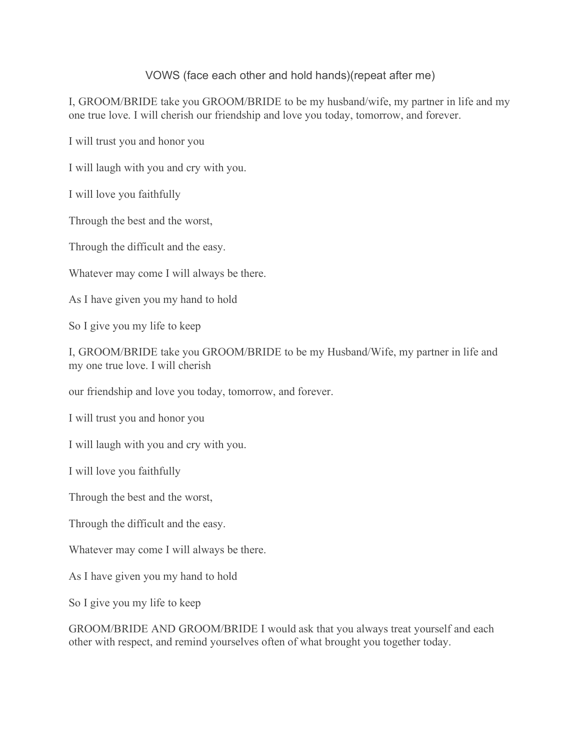VOWS (face each other and hold hands)(repeat after me)

I, GROOM/BRIDE take you GROOM/BRIDE to be my husband/wife, my partner in life and my one true love. I will cherish our friendship and love you today, tomorrow, and forever.

I will trust you and honor you

I will laugh with you and cry with you.

I will love you faithfully

Through the best and the worst,

Through the difficult and the easy.

Whatever may come I will always be there.

As I have given you my hand to hold

So I give you my life to keep

I, GROOM/BRIDE take you GROOM/BRIDE to be my Husband/Wife, my partner in life and my one true love. I will cherish

our friendship and love you today, tomorrow, and forever.

I will trust you and honor you

I will laugh with you and cry with you.

I will love you faithfully

Through the best and the worst,

Through the difficult and the easy.

Whatever may come I will always be there.

As I have given you my hand to hold

So I give you my life to keep

GROOM/BRIDE AND GROOM/BRIDE I would ask that you always treat yourself and each other with respect, and remind yourselves often of what brought you together today.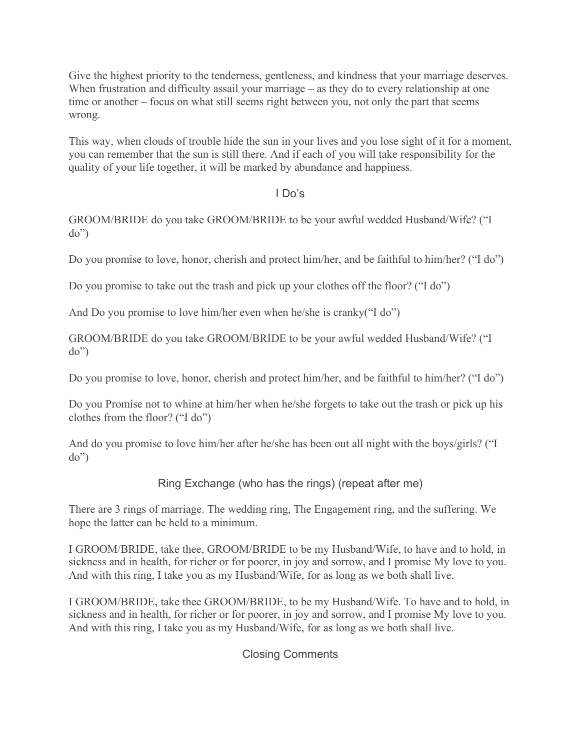Give the highest priority to the tenderness, gentleness, and kindness that your marriage deserves. When frustration and difficulty assail your marriage – as they do to every relationship at one time or another – focus on what still seems right between you, not only the part that seems wrong.

This way, when clouds of trouble hide the sun in your lives and you lose sight of it for a moment, you can remember that the sun is still there. And if each of you will take responsibility for the quality of your life together, it will be marked by abundance and happiness.

### I Do's

GROOM/BRIDE do you take GROOM/BRIDE to be your awful wedded Husband/Wife? ("I do")

Do you promise to love, honor, cherish and protect him/her, and be faithful to him/her? ("I do")

Do you promise to take out the trash and pick up your clothes off the floor? ("I do")

And Do you promise to love him/her even when he/she is cranky("I do")

GROOM/BRIDE do you take GROOM/BRIDE to be your awful wedded Husband/Wife? ("I do")

Do you promise to love, honor, cherish and protect him/her, and be faithful to him/her? ("I do")

Do you Promise not to whine at him/her when he/she forgets to take out the trash or pick up his clothes from the floor? ("I do")

And do you promise to love him/her after he/she has been out all night with the boys/girls? ("I do")

Ring Exchange (who has the rings) (repeat after me)

There are 3 rings of marriage. The wedding ring, The Engagement ring, and the suffering. We hope the latter can be held to a minimum.

I GROOM/BRIDE, take thee, GROOM/BRIDE to be my Husband/Wife, to have and to hold, in sickness and in health, for richer or for poorer, in joy and sorrow, and I promise My love to you. And with this ring, I take you as my Husband/Wife, for as long as we both shall live.

I GROOM/BRIDE, take thee GROOM/BRIDE, to be my Husband/Wife. To have and to hold, in sickness and in health, for richer or for poorer, in joy and sorrow, and I promise My love to you. And with this ring, I take you as my Husband/Wife, for as long as we both shall live.

### Closing Comments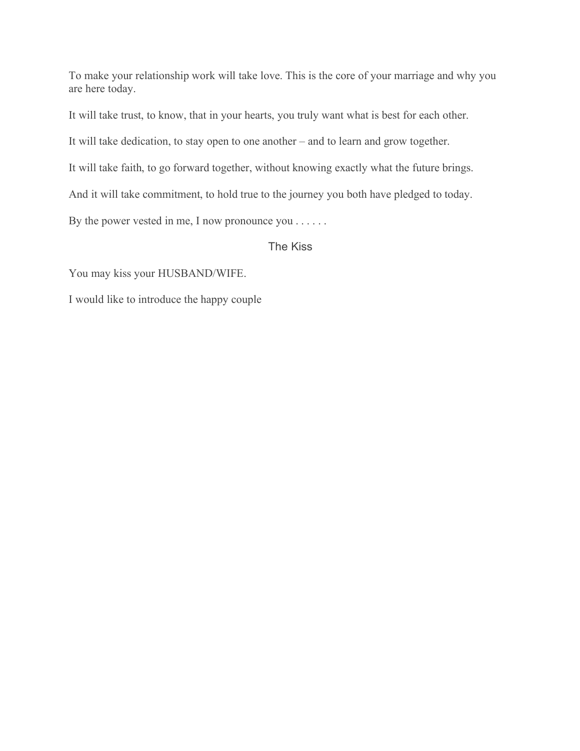To make your relationship work will take love. This is the core of your marriage and why you are here today.

It will take trust, to know, that in your hearts, you truly want what is best for each other.

It will take dedication, to stay open to one another – and to learn and grow together.

It will take faith, to go forward together, without knowing exactly what the future brings.

And it will take commitment, to hold true to the journey you both have pledged to today.

By the power vested in me, I now pronounce you . . . . . .

The Kiss

You may kiss your HUSBAND/WIFE.

I would like to introduce the happy couple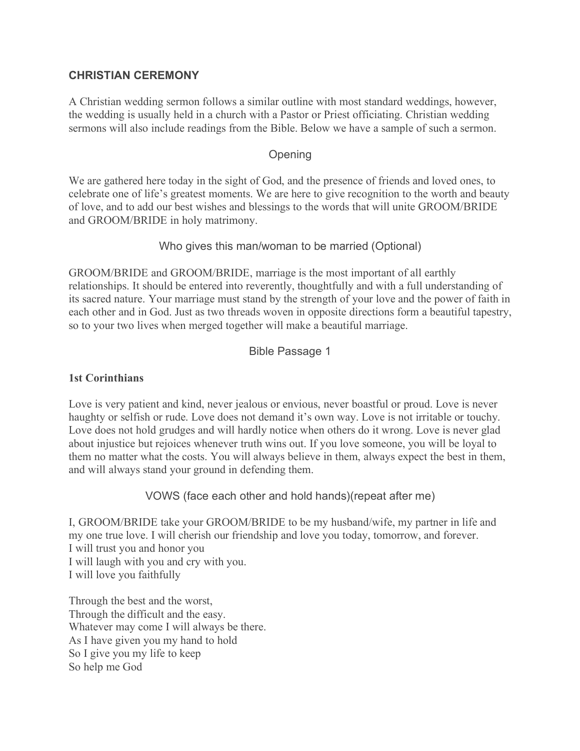### **CHRISTIAN CEREMONY**

A Christian wedding sermon follows a similar outline with most standard weddings, however, the wedding is usually held in a church with a Pastor or Priest officiating. Christian wedding sermons will also include readings from the Bible. Below we have a sample of such a sermon.

#### Opening

We are gathered here today in the sight of God, and the presence of friends and loved ones, to celebrate one of life's greatest moments. We are here to give recognition to the worth and beauty of love, and to add our best wishes and blessings to the words that will unite GROOM/BRIDE and GROOM/BRIDE in holy matrimony.

### Who gives this man/woman to be married (Optional)

GROOM/BRIDE and GROOM/BRIDE, marriage is the most important of all earthly relationships. It should be entered into reverently, thoughtfully and with a full understanding of its sacred nature. Your marriage must stand by the strength of your love and the power of faith in each other and in God. Just as two threads woven in opposite directions form a beautiful tapestry, so to your two lives when merged together will make a beautiful marriage.

### Bible Passage 1

#### **1st Corinthians**

Love is very patient and kind, never jealous or envious, never boastful or proud. Love is never haughty or selfish or rude. Love does not demand it's own way. Love is not irritable or touchy. Love does not hold grudges and will hardly notice when others do it wrong. Love is never glad about injustice but rejoices whenever truth wins out. If you love someone, you will be loyal to them no matter what the costs. You will always believe in them, always expect the best in them, and will always stand your ground in defending them.

VOWS (face each other and hold hands)(repeat after me)

I, GROOM/BRIDE take your GROOM/BRIDE to be my husband/wife, my partner in life and my one true love. I will cherish our friendship and love you today, tomorrow, and forever. I will trust you and honor you I will laugh with you and cry with you. I will love you faithfully

Through the best and the worst, Through the difficult and the easy. Whatever may come I will always be there. As I have given you my hand to hold So I give you my life to keep So help me God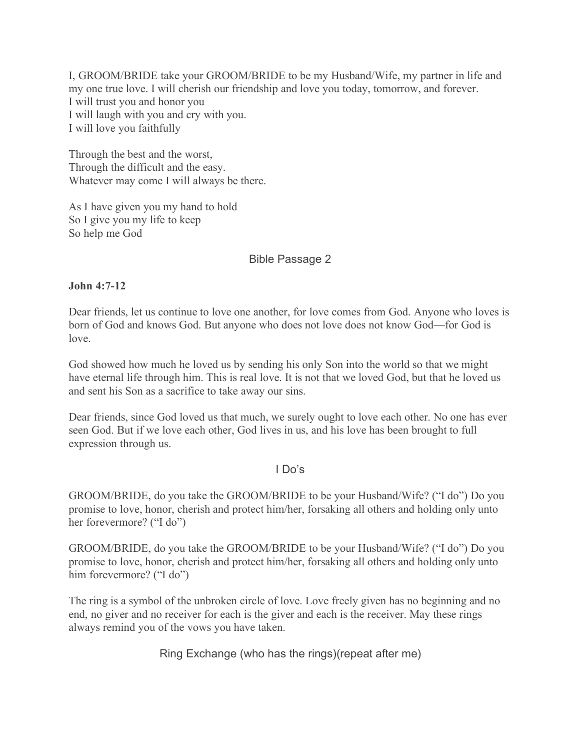I, GROOM/BRIDE take your GROOM/BRIDE to be my Husband/Wife, my partner in life and my one true love. I will cherish our friendship and love you today, tomorrow, and forever. I will trust you and honor you I will laugh with you and cry with you. I will love you faithfully

Through the best and the worst, Through the difficult and the easy. Whatever may come I will always be there.

As I have given you my hand to hold So I give you my life to keep So help me God

### Bible Passage 2

#### **John 4:7-12**

Dear friends, let us continue to love one another, for love comes from God. Anyone who loves is born of God and knows God. But anyone who does not love does not know God—for God is love.

God showed how much he loved us by sending his only Son into the world so that we might have eternal life through him. This is real love. It is not that we loved God, but that he loved us and sent his Son as a sacrifice to take away our sins.

Dear friends, since God loved us that much, we surely ought to love each other. No one has ever seen God. But if we love each other, God lives in us, and his love has been brought to full expression through us.

#### I Do's

GROOM/BRIDE, do you take the GROOM/BRIDE to be your Husband/Wife? ("I do") Do you promise to love, honor, cherish and protect him/her, forsaking all others and holding only unto her forevermore? ("I do")

GROOM/BRIDE, do you take the GROOM/BRIDE to be your Husband/Wife? ("I do") Do you promise to love, honor, cherish and protect him/her, forsaking all others and holding only unto him forevermore? ("I do")

The ring is a symbol of the unbroken circle of love. Love freely given has no beginning and no end, no giver and no receiver for each is the giver and each is the receiver. May these rings always remind you of the vows you have taken.

Ring Exchange (who has the rings)(repeat after me)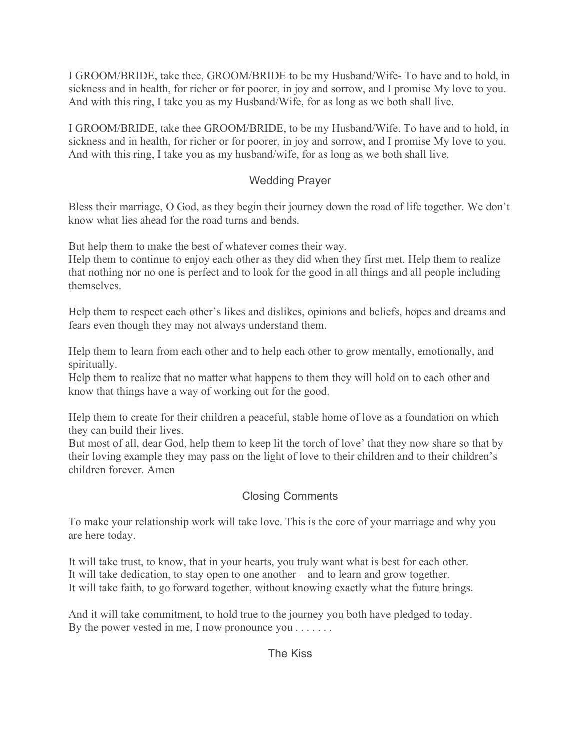I GROOM/BRIDE, take thee, GROOM/BRIDE to be my Husband/Wife- To have and to hold, in sickness and in health, for richer or for poorer, in joy and sorrow, and I promise My love to you. And with this ring, I take you as my Husband/Wife, for as long as we both shall live.

I GROOM/BRIDE, take thee GROOM/BRIDE, to be my Husband/Wife. To have and to hold, in sickness and in health, for richer or for poorer, in joy and sorrow, and I promise My love to you. And with this ring, I take you as my husband/wife, for as long as we both shall live.

# Wedding Prayer

Bless their marriage, O God, as they begin their journey down the road of life together. We don't know what lies ahead for the road turns and bends.

But help them to make the best of whatever comes their way.

Help them to continue to enjoy each other as they did when they first met. Help them to realize that nothing nor no one is perfect and to look for the good in all things and all people including themselves.

Help them to respect each other's likes and dislikes, opinions and beliefs, hopes and dreams and fears even though they may not always understand them.

Help them to learn from each other and to help each other to grow mentally, emotionally, and spiritually.

Help them to realize that no matter what happens to them they will hold on to each other and know that things have a way of working out for the good.

Help them to create for their children a peaceful, stable home of love as a foundation on which they can build their lives.

But most of all, dear God, help them to keep lit the torch of love' that they now share so that by their loving example they may pass on the light of love to their children and to their children's children forever. Amen

# Closing Comments

To make your relationship work will take love. This is the core of your marriage and why you are here today.

It will take trust, to know, that in your hearts, you truly want what is best for each other. It will take dedication, to stay open to one another – and to learn and grow together. It will take faith, to go forward together, without knowing exactly what the future brings.

And it will take commitment, to hold true to the journey you both have pledged to today. By the power vested in me, I now pronounce you . . . . . . .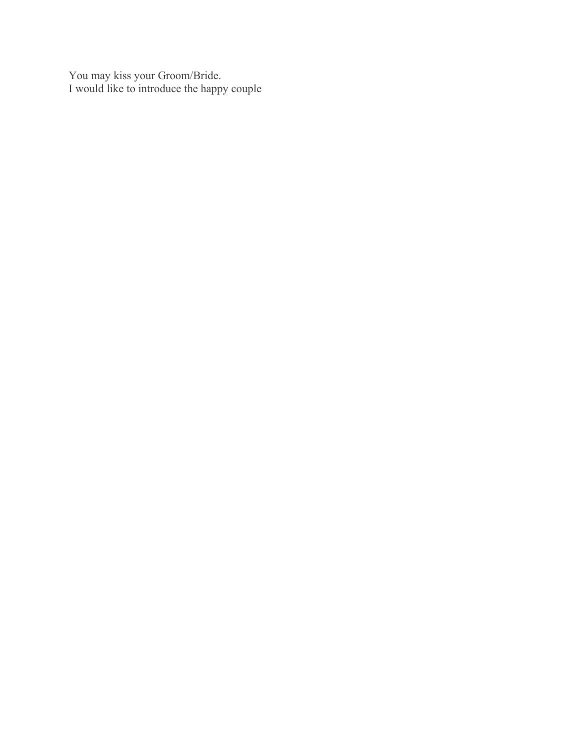You may kiss your Groom/Bride. I would like to introduce the happy couple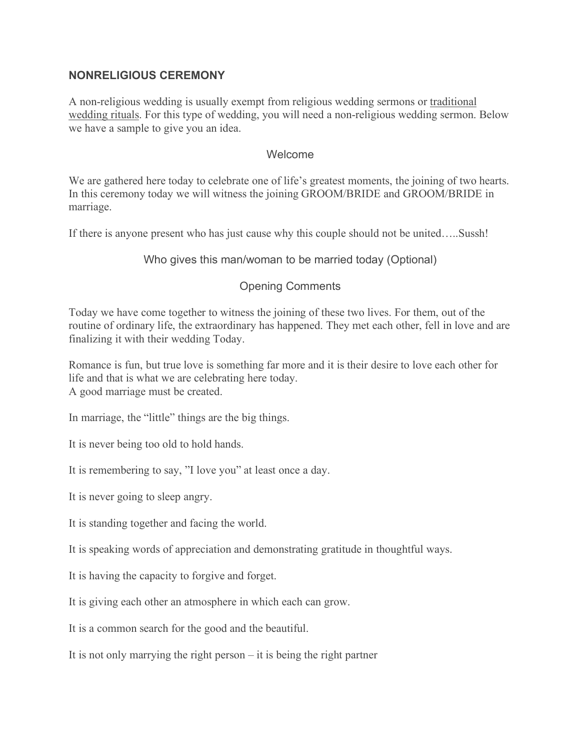### **NONRELIGIOUS CEREMONY**

A non-religious wedding is usually exempt from religious wedding sermons or traditional wedding rituals. For this type of wedding, you will need a non-religious wedding sermon. Below we have a sample to give you an idea.

#### **Welcome**

We are gathered here today to celebrate one of life's greatest moments, the joining of two hearts. In this ceremony today we will witness the joining GROOM/BRIDE and GROOM/BRIDE in marriage.

If there is anyone present who has just cause why this couple should not be united…..Sussh!

Who gives this man/woman to be married today (Optional)

### Opening Comments

Today we have come together to witness the joining of these two lives. For them, out of the routine of ordinary life, the extraordinary has happened. They met each other, fell in love and are finalizing it with their wedding Today.

Romance is fun, but true love is something far more and it is their desire to love each other for life and that is what we are celebrating here today. A good marriage must be created.

In marriage, the "little" things are the big things.

It is never being too old to hold hands.

It is remembering to say, "I love you" at least once a day.

It is never going to sleep angry.

It is standing together and facing the world.

It is speaking words of appreciation and demonstrating gratitude in thoughtful ways.

It is having the capacity to forgive and forget.

It is giving each other an atmosphere in which each can grow.

It is a common search for the good and the beautiful.

It is not only marrying the right person – it is being the right partner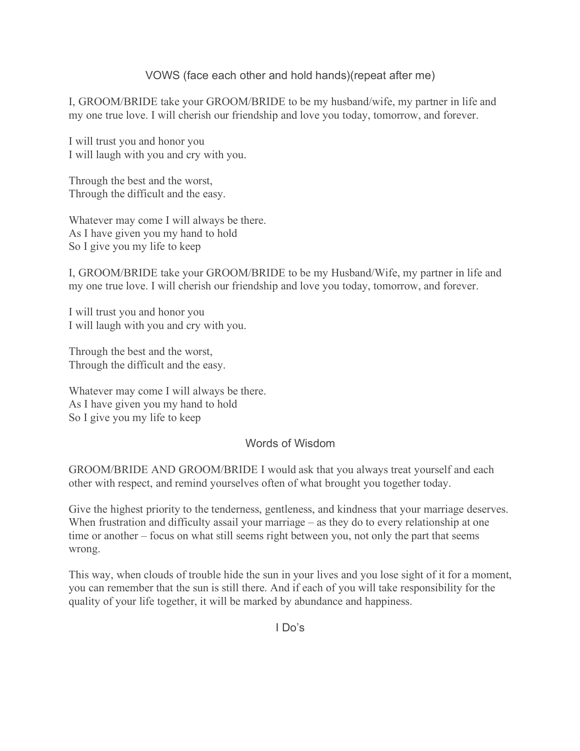VOWS (face each other and hold hands)(repeat after me)

I, GROOM/BRIDE take your GROOM/BRIDE to be my husband/wife, my partner in life and my one true love. I will cherish our friendship and love you today, tomorrow, and forever.

I will trust you and honor you I will laugh with you and cry with you.

Through the best and the worst, Through the difficult and the easy.

Whatever may come I will always be there. As I have given you my hand to hold So I give you my life to keep

I, GROOM/BRIDE take your GROOM/BRIDE to be my Husband/Wife, my partner in life and my one true love. I will cherish our friendship and love you today, tomorrow, and forever.

I will trust you and honor you I will laugh with you and cry with you.

Through the best and the worst, Through the difficult and the easy.

Whatever may come I will always be there. As I have given you my hand to hold So I give you my life to keep

#### Words of Wisdom

GROOM/BRIDE AND GROOM/BRIDE I would ask that you always treat yourself and each other with respect, and remind yourselves often of what brought you together today.

Give the highest priority to the tenderness, gentleness, and kindness that your marriage deserves. When frustration and difficulty assail your marriage – as they do to every relationship at one time or another – focus on what still seems right between you, not only the part that seems wrong.

This way, when clouds of trouble hide the sun in your lives and you lose sight of it for a moment, you can remember that the sun is still there. And if each of you will take responsibility for the quality of your life together, it will be marked by abundance and happiness.

I Do's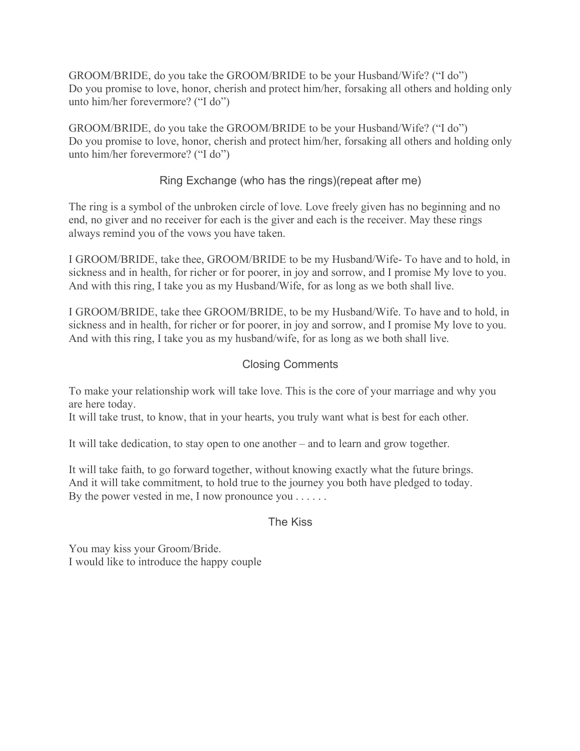GROOM/BRIDE, do you take the GROOM/BRIDE to be your Husband/Wife? ("I do") Do you promise to love, honor, cherish and protect him/her, forsaking all others and holding only unto him/her forevermore? ("I do")

GROOM/BRIDE, do you take the GROOM/BRIDE to be your Husband/Wife? ("I do") Do you promise to love, honor, cherish and protect him/her, forsaking all others and holding only unto him/her forevermore? ("I do")

# Ring Exchange (who has the rings)(repeat after me)

The ring is a symbol of the unbroken circle of love. Love freely given has no beginning and no end, no giver and no receiver for each is the giver and each is the receiver. May these rings always remind you of the vows you have taken.

I GROOM/BRIDE, take thee, GROOM/BRIDE to be my Husband/Wife- To have and to hold, in sickness and in health, for richer or for poorer, in joy and sorrow, and I promise My love to you. And with this ring, I take you as my Husband/Wife, for as long as we both shall live.

I GROOM/BRIDE, take thee GROOM/BRIDE, to be my Husband/Wife. To have and to hold, in sickness and in health, for richer or for poorer, in joy and sorrow, and I promise My love to you. And with this ring, I take you as my husband/wife, for as long as we both shall live.

### Closing Comments

To make your relationship work will take love. This is the core of your marriage and why you are here today.

It will take trust, to know, that in your hearts, you truly want what is best for each other.

It will take dedication, to stay open to one another – and to learn and grow together.

It will take faith, to go forward together, without knowing exactly what the future brings. And it will take commitment, to hold true to the journey you both have pledged to today. By the power vested in me, I now pronounce you . . . . . .

#### The Kiss

You may kiss your Groom/Bride. I would like to introduce the happy couple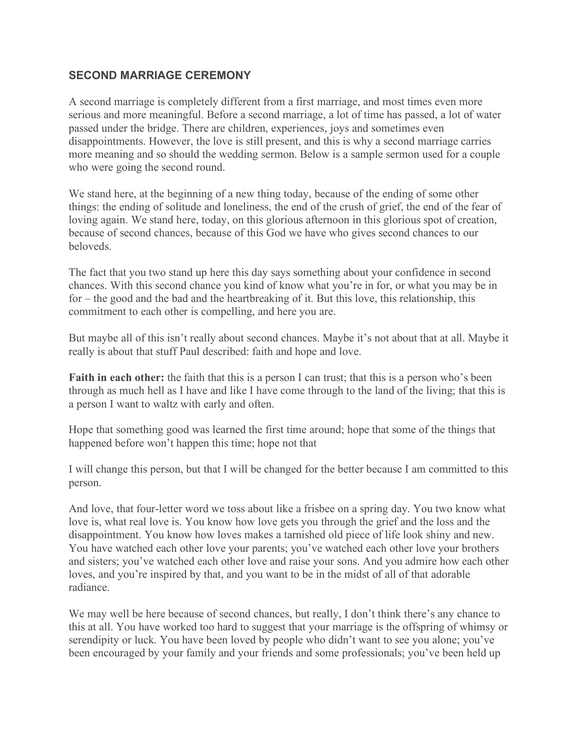### **SECOND MARRIAGE CEREMONY**

A second marriage is completely different from a first marriage, and most times even more serious and more meaningful. Before a second marriage, a lot of time has passed, a lot of water passed under the bridge. There are children, experiences, joys and sometimes even disappointments. However, the love is still present, and this is why a second marriage carries more meaning and so should the wedding sermon. Below is a sample sermon used for a couple who were going the second round.

We stand here, at the beginning of a new thing today, because of the ending of some other things: the ending of solitude and loneliness, the end of the crush of grief, the end of the fear of loving again. We stand here, today, on this glorious afternoon in this glorious spot of creation, because of second chances, because of this God we have who gives second chances to our beloveds.

The fact that you two stand up here this day says something about your confidence in second chances. With this second chance you kind of know what you're in for, or what you may be in for – the good and the bad and the heartbreaking of it. But this love, this relationship, this commitment to each other is compelling, and here you are.

But maybe all of this isn't really about second chances. Maybe it's not about that at all. Maybe it really is about that stuff Paul described: faith and hope and love.

**Faith in each other:** the faith that this is a person I can trust; that this is a person who's been through as much hell as I have and like I have come through to the land of the living; that this is a person I want to waltz with early and often.

Hope that something good was learned the first time around; hope that some of the things that happened before won't happen this time; hope not that

I will change this person, but that I will be changed for the better because I am committed to this person.

And love, that four-letter word we toss about like a frisbee on a spring day. You two know what love is, what real love is. You know how love gets you through the grief and the loss and the disappointment. You know how loves makes a tarnished old piece of life look shiny and new. You have watched each other love your parents; you've watched each other love your brothers and sisters; you've watched each other love and raise your sons. And you admire how each other loves, and you're inspired by that, and you want to be in the midst of all of that adorable radiance.

We may well be here because of second chances, but really, I don't think there's any chance to this at all. You have worked too hard to suggest that your marriage is the offspring of whimsy or serendipity or luck. You have been loved by people who didn't want to see you alone; you've been encouraged by your family and your friends and some professionals; you've been held up